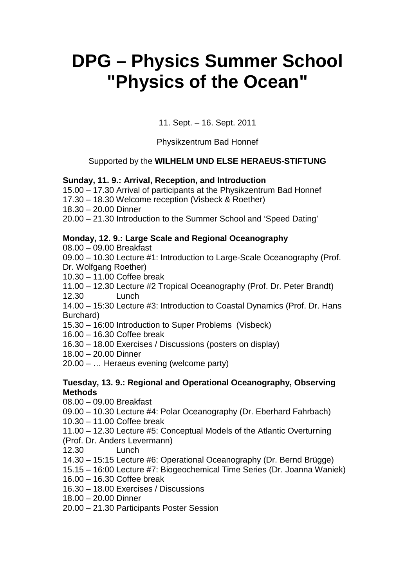# **DPG – Physics Summer School "Physics of the Ocean"**

11. Sept. – 16. Sept. 2011

Physikzentrum Bad Honnef

## Supported by the **WILHELM UND ELSE HERAEUS-STIFTUNG**

## **Sunday, 11. 9.: Arrival, Reception, and Introduction**

15.00 – 17.30 Arrival of participants at the Physikzentrum Bad Honnef

17.30 – 18.30 Welcome reception (Visbeck & Roether)

18.30 – 20.00 Dinner

20.00 – 21.30 Introduction to the Summer School and 'Speed Dating'

### **Monday, 12. 9.: Large Scale and Regional Oceanography**

08.00 – 09.00 Breakfast

09.00 – 10.30 Lecture #1: Introduction to Large-Scale Oceanography (Prof.

Dr. Wolfgang Roether)

10.30 – 11.00 Coffee break

11.00 – 12.30 Lecture #2 Tropical Oceanography (Prof. Dr. Peter Brandt) 12.30 Lunch

14.00 – 15:30 Lecture #3: Introduction to Coastal Dynamics (Prof. Dr. Hans Burchard)

15.30 – 16:00 Introduction to Super Problems (Visbeck)

16.00 – 16.30 Coffee break

16.30 – 18.00 Exercises / Discussions (posters on display)

- 18.00 20.00 Dinner
- 20.00 … Heraeus evening (welcome party)

### **Tuesday, 13. 9.: Regional and Operational Oceanography, Observing Methods**

- 08.00 09.00 Breakfast
- 09.00 10.30 Lecture #4: Polar Oceanography (Dr. Eberhard Fahrbach)
- 10.30 11.00 Coffee break
- 11.00 12.30 Lecture #5: Conceptual Models of the Atlantic Overturning
- (Prof. Dr. Anders Levermann)
- 12.30 Lunch
- 14.30 15:15 Lecture #6: Operational Oceanography (Dr. Bernd Brügge)
- 15.15 16:00 Lecture #7: Biogeochemical Time Series (Dr. Joanna Waniek)
- 16.00 16.30 Coffee break
- 16.30 18.00 Exercises / Discussions
- 18.00 20.00 Dinner
- 20.00 21.30 Participants Poster Session